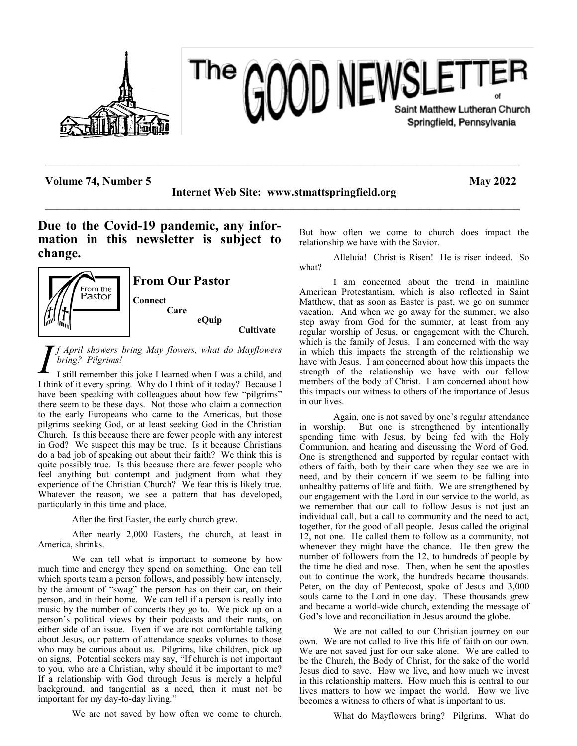

# **OOD NEWSLETTER** The Saint Matthew Lutheran Church Springfield, Pennsylvania

**Volume 74, Number 5 May 2022** 

**Internet Web Site: www.stmattspringfield.org \_\_\_\_\_\_\_\_\_\_\_\_\_\_\_\_\_\_\_\_\_\_\_\_\_\_\_\_\_\_\_\_\_\_\_\_\_\_\_\_\_\_\_\_\_\_\_\_\_\_\_\_\_\_\_\_\_\_\_\_\_\_\_\_\_\_\_\_\_\_\_\_\_\_\_\_\_\_\_\_\_\_\_\_**

 $\mathcal{L}_\mathcal{L} = \{ \mathcal{L}_\mathcal{L} = \{ \mathcal{L}_\mathcal{L} = \{ \mathcal{L}_\mathcal{L} = \{ \mathcal{L}_\mathcal{L} = \{ \mathcal{L}_\mathcal{L} = \{ \mathcal{L}_\mathcal{L} = \{ \mathcal{L}_\mathcal{L} = \{ \mathcal{L}_\mathcal{L} = \{ \mathcal{L}_\mathcal{L} = \{ \mathcal{L}_\mathcal{L} = \{ \mathcal{L}_\mathcal{L} = \{ \mathcal{L}_\mathcal{L} = \{ \mathcal{L}_\mathcal{L} = \{ \mathcal{L}_\mathcal{$ 

**Due to the Covid-19 pandemic, any information in this newsletter is subject to change.**



*I f April showers bring May flowers, what do Mayflowers bring? Pilgrims!*

I still remember this joke I learned when I was a child, and I think of it every spring. Why do I think of it today? Because I have been speaking with colleagues about how few "pilgrims" there seem to be these days. Not those who claim a connection to the early Europeans who came to the Americas, but those pilgrims seeking God, or at least seeking God in the Christian Church. Is this because there are fewer people with any interest in God? We suspect this may be true. Is it because Christians do a bad job of speaking out about their faith? We think this is quite possibly true. Is this because there are fewer people who feel anything but contempt and judgment from what they experience of the Christian Church? We fear this is likely true. Whatever the reason, we see a pattern that has developed, particularly in this time and place.

After the first Easter, the early church grew.

After nearly 2,000 Easters, the church, at least in America, shrinks.

We can tell what is important to someone by how much time and energy they spend on something. One can tell which sports team a person follows, and possibly how intensely, by the amount of "swag" the person has on their car, on their person, and in their home. We can tell if a person is really into music by the number of concerts they go to. We pick up on a person's political views by their podcasts and their rants, on either side of an issue. Even if we are not comfortable talking about Jesus, our pattern of attendance speaks volumes to those who may be curious about us. Pilgrims, like children, pick up on signs. Potential seekers may say, "If church is not important to you, who are a Christian, why should it be important to me? If a relationship with God through Jesus is merely a helpful background, and tangential as a need, then it must not be important for my day-to-day living."

We are not saved by how often we come to church.

But how often we come to church does impact the relationship we have with the Savior.

Alleluia! Christ is Risen! He is risen indeed. So what?

I am concerned about the trend in mainline American Protestantism, which is also reflected in Saint Matthew, that as soon as Easter is past, we go on summer vacation. And when we go away for the summer, we also step away from God for the summer, at least from any regular worship of Jesus, or engagement with the Church, which is the family of Jesus. I am concerned with the way in which this impacts the strength of the relationship we have with Jesus. I am concerned about how this impacts the strength of the relationship we have with our fellow members of the body of Christ. I am concerned about how this impacts our witness to others of the importance of Jesus in our lives.

Again, one is not saved by one's regular attendance in worship. But one is strengthened by intentionally spending time with Jesus, by being fed with the Holy Communion, and hearing and discussing the Word of God. One is strengthened and supported by regular contact with others of faith, both by their care when they see we are in need, and by their concern if we seem to be falling into unhealthy patterns of life and faith. We are strengthened by our engagement with the Lord in our service to the world, as we remember that our call to follow Jesus is not just an individual call, but a call to community and the need to act, together, for the good of all people. Jesus called the original 12, not one. He called them to follow as a community, not whenever they might have the chance. He then grew the number of followers from the 12, to hundreds of people by the time he died and rose. Then, when he sent the apostles out to continue the work, the hundreds became thousands. Peter, on the day of Pentecost, spoke of Jesus and 3,000 souls came to the Lord in one day. These thousands grew and became a world-wide church, extending the message of God's love and reconciliation in Jesus around the globe.

We are not called to our Christian journey on our own. We are not called to live this life of faith on our own. We are not saved just for our sake alone. We are called to be the Church, the Body of Christ, for the sake of the world Jesus died to save. How we live, and how much we invest in this relationship matters. How much this is central to our lives matters to how we impact the world. How we live becomes a witness to others of what is important to us.

What do Mayflowers bring? Pilgrims. What do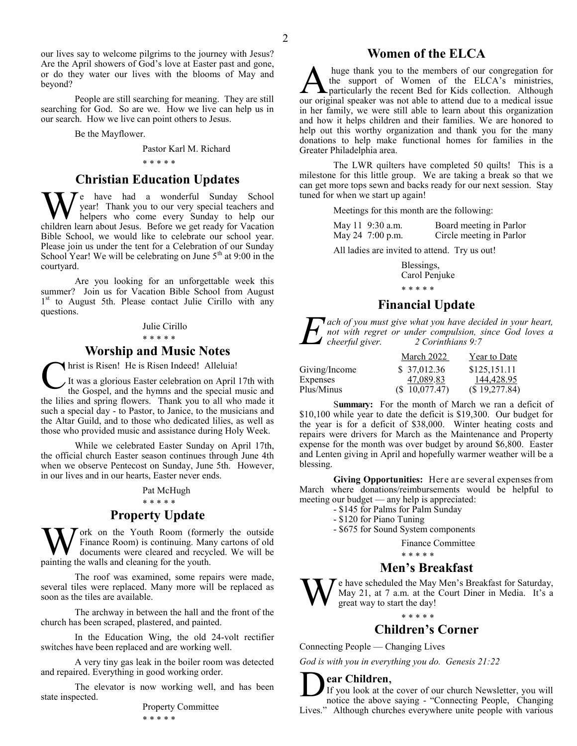our lives say to welcome pilgrims to the journey with Jesus? Are the April showers of God's love at Easter past and gone, or do they water our lives with the blooms of May and beyond?

People are still searching for meaning. They are still searching for God. So are we. How we live can help us in our search. How we live can point others to Jesus.

Be the Mayflower.

Pastor Karl M. Richard

#### \* \* \* \* \*

#### **Christian Education Updates**

W e have had a wonderful Sunday School<br>helpers who come every Sunday to help our<br>children learn about Jesus. Before we get ready for Vacation  $\mathcal{T}$ e have had a wonderful Sunday School year! Thank you to our very special teachers and helpers who come every Sunday to help our Bible School, we would like to celebrate our school year. Please join us under the tent for a Celebration of our Sunday School Year! We will be celebrating on June  $5<sup>th</sup>$  at 9:00 in the courtyard.

Are you looking for an unforgettable week this summer? Join us for Vacation Bible School from August 1<sup>st</sup> to August 5th. Please contact Julie Cirillo with any questions.

#### Julie Cirillo

#### \* \* \* \* \*

### **Worship and Music Notes**

hrist is Risen! He is Risen Indeed! Alleluia!

C It was a glorious Easter celebration on April 17th with the Gospel, and the hymns and the special music and the lilies and spring flowers. Thank you to all who made it such a special day - to Pastor, to Janice, to the musicians and the Altar Guild, and to those who dedicated lilies, as well as those who provided music and assistance during Holy Week.

While we celebrated Easter Sunday on April 17th, the official church Easter season continues through June 4th when we observe Pentecost on Sunday, June 5th. However, in our lives and in our hearts, Easter never ends.

#### Pat McHugh

#### \* \* \* \* \*

### **Property Update**

**W** ork on the Youth Room (forms documents were cleared and recycleaning the walls and cleaning for the youth. ork on the Youth Room (formerly the outside Finance Room) is continuing. Many cartons of old documents were cleared and recycled. We will be

The roof was examined, some repairs were made, several tiles were replaced. Many more will be replaced as soon as the tiles are available.

The archway in between the hall and the front of the church has been scraped, plastered, and painted.

In the Education Wing, the old 24-volt rectifier switches have been replaced and are working well.

A very tiny gas leak in the boiler room was detected and repaired. Everything in good working order.

The elevator is now working well, and has been state inspected.

Property Committee \* \* \* \* \*

### **Women of the ELCA**

A huge thank you to the members of our congregation for the support of Women of the ELCA's ministries, particularly the recent Bed for Kids collection. Although our original speaker was not able to attend due to a medical huge thank you to the members of our congregation for the support of Women of the ELCA's ministries, particularly the recent Bed for Kids collection. Although in her family, we were still able to learn about this organization and how it helps children and their families. We are honored to help out this worthy organization and thank you for the many donations to help make functional homes for families in the Greater Philadelphia area.

The LWR quilters have completed 50 quilts! This is a milestone for this little group. We are taking a break so that we can get more tops sewn and backs ready for our next session. Stay tuned for when we start up again!

Meetings for this month are the following:

| May 11 9:30 a.m. | Board meeting in Parlor  |
|------------------|--------------------------|
| May 24 7:00 p.m. | Circle meeting in Parlor |

All ladies are invited to attend. Try us out!

Blessings, Carol Penjuke \* \* \* \* \*

# **Financial Update**

*E ach of you must give what you have decided in your heart, not with regret or under compulsion, since God loves a cheerful giver. 2 Corinthians 9:7*

|               | March 2022    | Year to Date  |
|---------------|---------------|---------------|
| Giving/Income | \$ 37,012.36  | \$125,151.11  |
| Expenses      | 47,089.83     | 144,428.95    |
| Plus/Minus    | (S 10,077.47) | (\$19,277.84) |

Summary: For the month of March we ran a deficit of \$10,100 while year to date the deficit is \$19,300. Our budget for the year is for a deficit of \$38,000. Winter heating costs and repairs were drivers for March as the Maintenance and Property expense for the month was over budget by around \$6,800. Easter and Lenten giving in April and hopefully warmer weather will be a blessing.

**Giving Opportunities:** Here are several expenses from March where donations/reimbursements would be helpful to meeting our budget — any help is appreciated:

- \$145 for Palms for Palm Sunday
- \$120 for Piano Tuning
- \$675 for Sound System components

Finance Committee

\* \* \* \* \*

## **Men's Breakfast**

W e have scheduled the May Men's Breakfast for Saturday, May 21, at 7 a.m. at the Court Diner in Media. It's a great way to start the day!

#### \* \* \* \* \*

### **Children's Corner**

Connecting People — Changing Lives

*God is with you in everything you do. Genesis 21:22*

**ear Children**,

**Dear Children,**<br>If you look at the cover of our church Newsletter, you will<br>notice the above saying - "Connecting People, Changing If you look at the cover of our church Newsletter, you will Lives." Although churches everywhere unite people with various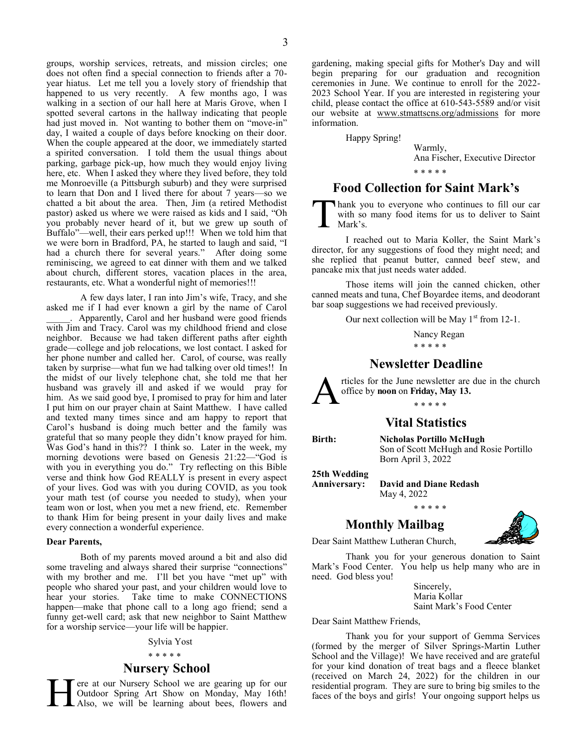groups, worship services, retreats, and mission circles; one does not often find a special connection to friends after a 70 year hiatus. Let me tell you a lovely story of friendship that happened to us very recently. A few months ago, I was walking in a section of our hall here at Maris Grove, when I spotted several cartons in the hallway indicating that people had just moved in. Not wanting to bother them on "move-in" day, I waited a couple of days before knocking on their door. When the couple appeared at the door, we immediately started a spirited conversation. I told them the usual things about parking, garbage pick-up, how much they would enjoy living here, etc. When I asked they where they lived before, they told me Monroeville (a Pittsburgh suburb) and they were surprised to learn that Don and I lived there for about 7 years—so we chatted a bit about the area. Then, Jim (a retired Methodist pastor) asked us where we were raised as kids and I said, "Oh you probably never heard of it, but we grew up south of Buffalo"—well, their ears perked up!!! When we told him that we were born in Bradford, PA, he started to laugh and said, "I had a church there for several years." After doing some reminiscing, we agreed to eat dinner with them and we talked about church, different stores, vacation places in the area, restaurants, etc. What a wonderful night of memories!!!

A few days later, I ran into Jim's wife, Tracy, and she asked me if I had ever known a girl by the name of Carol Apparently, Carol and her husband were good friends with Jim and Tracy. Carol was my childhood friend and close neighbor. Because we had taken different paths after eighth grade—college and job relocations, we lost contact. I asked for her phone number and called her. Carol, of course, was really taken by surprise—what fun we had talking over old times!! In the midst of our lively telephone chat, she told me that her husband was gravely ill and asked if we would pray for him. As we said good bye, I promised to pray for him and later I put him on our prayer chain at Saint Matthew. I have called and texted many times since and am happy to report that Carol's husband is doing much better and the family was grateful that so many people they didn't know prayed for him. Was God's hand in this?? I think so. Later in the week, my morning devotions were based on Genesis 21:22—"God is with you in everything you do." Try reflecting on this Bible verse and think how God REALLY is present in every aspect of your lives. God was with you during COVID, as you took your math test (of course you needed to study), when your team won or lost, when you met a new friend, etc. Remember to thank Him for being present in your daily lives and make every connection a wonderful experience.

#### **Dear Parents,**

Both of my parents moved around a bit and also did some traveling and always shared their surprise "connections" with my brother and me. I'll bet you have "met up" with people who shared your past, and your children would love to hear your stories. Take time to make CONNECTIONS happen—make that phone call to a long ago friend; send a funny get-well card; ask that new neighbor to Saint Matthew for a worship service—your life will be happier.

#### Sylvia Yost

#### \* \* \* \* \*

#### **Nursery School**

H ere at our Nursery School we are gearing up for our Outdoor Spring Art Show on Monday, May 16th! Also, we will be learning about bees, flowers and

gardening, making special gifts for Mother's Day and will begin preparing for our graduation and recognition ceremonies in June. We continue to enroll for the 2022- 2023 School Year. If you are interested in registering your child, please contact the office at 610-543-5589 and/or visit our website at [www.stmattscns.org/admissions](http://www.stmattscns.org/admissions) for more information.

Happy Spring!

Warmly, Ana Fischer, Executive Director \* \* \* \* \*

### **Food Collection for Saint Mark's**

T hank you to everyone who continues to fill our car with so many food items for us to deliver to Saint Mark's.

I reached out to Maria Koller, the Saint Mark's director, for any suggestions of food they might need; and she replied that peanut butter, canned beef stew, and pancake mix that just needs water added.

Those items will join the canned chicken, other canned meats and tuna, Chef Boyardee items, and deodorant bar soap suggestions we had received previously.

Our next collection will be May  $1^{st}$  from 12-1.

Nancy Regan \* \* \* \* \*

### **Newsletter Deadline**

A rticles for the June newsletter are due in the church office by **noon** on **Friday, May 13.**

# \* \* \* \* \*

### **Vital Statistics**

**Birth: Nicholas Portillo McHugh** Son of Scott McHugh and Rosie Portillo Born April 3, 2022

**25th Wedding**

**Anniversary: David and Diane Redash** May 4, 2022 \* \* \* \* \*

### **Monthly Mailbag**



Dear Saint Matthew Lutheran Church,

Thank you for your generous donation to Saint Mark's Food Center. You help us help many who are in need. God bless you!

> Sincerely, Maria Kollar Saint Mark's Food Center

Dear Saint Matthew Friends,

Thank you for your support of Gemma Services (formed by the merger of Silver Springs-Martin Luther School and the Village)! We have received and are grateful for your kind donation of treat bags and a fleece blanket (received on March 24, 2022) for the children in our residential program. They are sure to bring big smiles to the faces of the boys and girls! Your ongoing support helps us